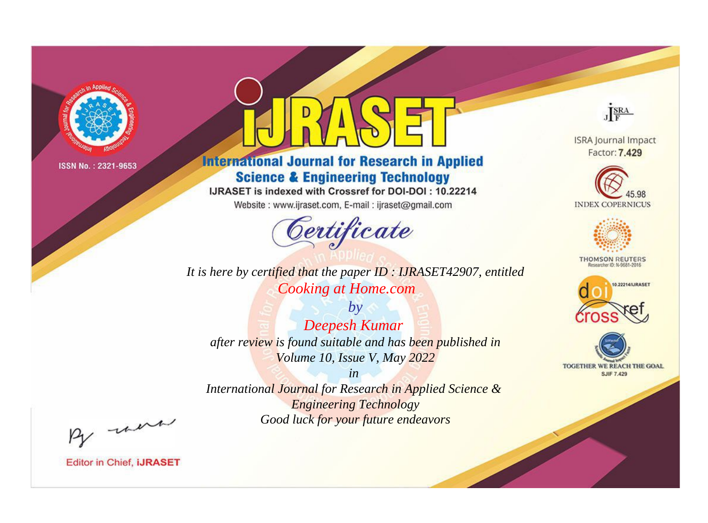

# **International Journal for Research in Applied Science & Engineering Technology**

IJRASET is indexed with Crossref for DOI-DOI: 10.22214

Website: www.ijraset.com, E-mail: ijraset@gmail.com



It is here by certified that the paper ID: IJRASET42907, entitled **Cooking at Home.com** 

 $by$ Deepesh Kumar after review is found suitable and has been published in Volume 10, Issue V, May 2022

 $in$ International Journal for Research in Applied Science & **Engineering Technology** Good luck for your future endeavors



**ISRA Journal Impact** Factor: 7.429





**THOMSON REUTERS** 



TOGETHER WE REACH THE GOAL **SJIF 7.429** 

By morn

**Editor in Chief, IJRASET**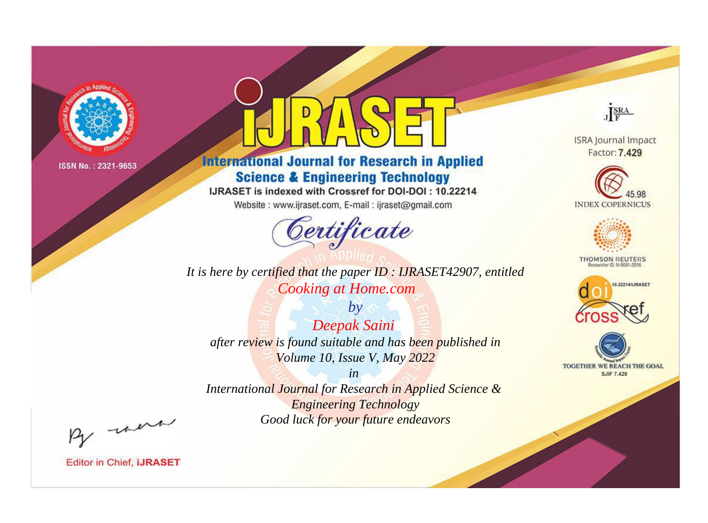

# **International Journal for Research in Applied Science & Engineering Technology**

IJRASET is indexed with Crossref for DOI-DOI: 10.22214

Website: www.ijraset.com, E-mail: ijraset@gmail.com



*It is here by certified that the paper ID : IJRASET42907, entitled Cooking at Home.com*

*by Deepak Saini after review is found suitable and has been published in Volume 10, Issue V, May 2022*

*in International Journal for Research in Applied Science & Engineering Technology Good luck for your future endeavors*



**ISRA Journal Impact** Factor: 7.429





**THOMSON REUTERS** 





By morn

**Editor in Chief, IJRASET**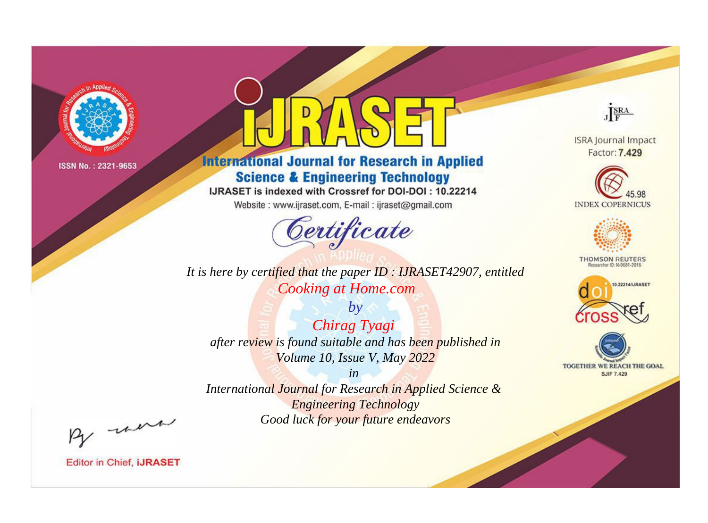

# **International Journal for Research in Applied Science & Engineering Technology**

IJRASET is indexed with Crossref for DOI-DOI: 10.22214

Website: www.ijraset.com, E-mail: ijraset@gmail.com



*It is here by certified that the paper ID : IJRASET42907, entitled Cooking at Home.com*

*by Chirag Tyagi after review is found suitable and has been published in Volume 10, Issue V, May 2022*

*in International Journal for Research in Applied Science & Engineering Technology Good luck for your future endeavors*



**Editor in Chief, IJRASET** 

**ISRA Journal Impact** Factor: 7.429

JERA





**THOMSON REUTERS** 



TOGETHER WE REACH THE GOAL **SJIF 7.429**